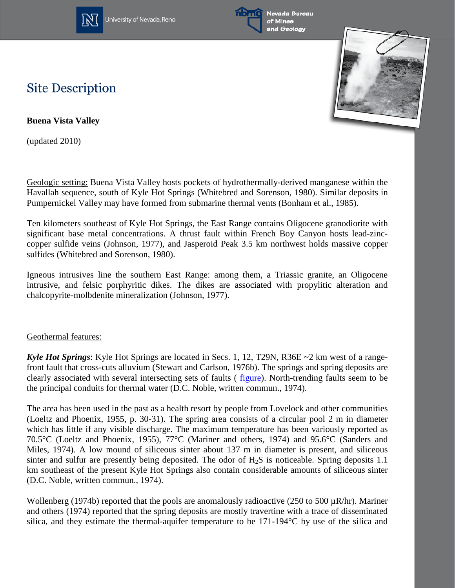

University of Nevada, Reno



Nevada Bureau of Mines and Geology



## **Site Description**

**Buena Vista Valley**

(updated 2010)

Geologic setting: Buena Vista Valley hosts pockets of hydrothermally-derived manganese within the Havallah sequence, south of Kyle Hot Springs (Whitebred and Sorenson, 1980). Similar deposits in Pumpernickel Valley may have formed from submarine thermal vents (Bonham et al., 1985).

Ten kilometers southeast of Kyle Hot Springs, the East Range contains Oligocene granodiorite with significant base metal concentrations. A thrust fault within French Boy Canyon hosts lead-zinccopper sulfide veins (Johnson, 1977), and Jasperoid Peak 3.5 km northwest holds massive copper sulfides (Whitebred and Sorenson, 1980).

Igneous intrusives line the southern East Range: among them, a Triassic granite, an Oligocene intrusive, and felsic porphyritic dikes. The dikes are associated with propylitic alteration and chalcopyrite-molbdenite mineralization (Johnson, 1977).

## Geothermal features:

*Kyle Hot Springs*: Kyle Hot Springs are located in Secs. 1, 12, T29N, R36E ~2 km west of a rangefront fault that cross-cuts alluvium (Stewart and Carlson, 1976b). The springs and spring deposits are clearly associated with several intersecting sets of faults ( [figure\)](http://www.nbmg.unr.edu/geothermal/figures/fig40.pdf). North-trending faults seem to be the principal conduits for thermal water (D.C. Noble, written commun., 1974).

The area has been used in the past as a health resort by people from Lovelock and other communities (Loeltz and Phoenix, 1955, p. 30-31). The spring area consists of a circular pool 2 m in diameter which has little if any visible discharge. The maximum temperature has been variously reported as 70.5°C (Loeltz and Phoenix, 1955), 77°C (Mariner and others, 1974) and 95.6°C (Sanders and Miles, 1974). A low mound of siliceous sinter about 137 m in diameter is present, and siliceous sinter and sulfur are presently being deposited. The odor of  $H_2S$  is noticeable. Spring deposits 1.1 km southeast of the present Kyle Hot Springs also contain considerable amounts of siliceous sinter (D.C. Noble, written commun., 1974).

Wollenberg (1974b) reported that the pools are anomalously radioactive (250 to 500  $\mu$ R/hr). Mariner and others (1974) reported that the spring deposits are mostly travertine with a trace of disseminated silica, and they estimate the thermal-aquifer temperature to be 171-194°C by use of the silica and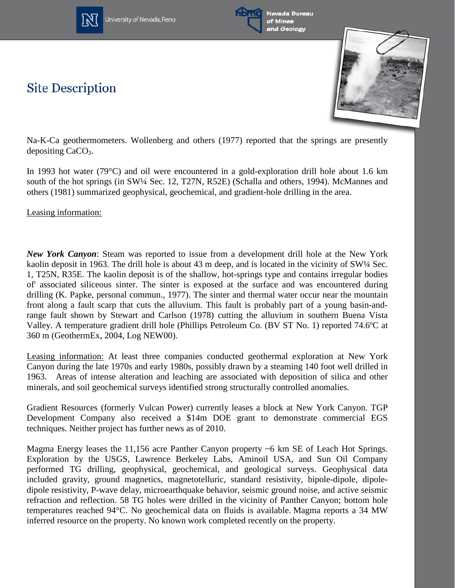



**Site Description** 



Na-K-Ca geothermometers. Wollenberg and others (1977) reported that the springs are presently depositing  $CaCO<sub>3</sub>$ .

In 1993 hot water (79°C) and oil were encountered in a gold-exploration drill hole about 1.6 km south of the hot springs (in SW¼ Sec. 12, T27N, R52E) (Schalla and others, 1994). McMannes and others (1981) summarized geophysical, geochemical, and gradient-hole drilling in the area.

Leasing information:

*New York Canyon*: Steam was reported to issue from a development drill hole at the New York kaolin deposit in 1963. The drill hole is about 43 m deep, and is located in the vicinity of SW¼ Sec. 1, T25N, R35E. The kaolin deposit is of the shallow, hot-springs type and contains irregular bodies of' associated siliceous sinter. The sinter is exposed at the surface and was encountered during drilling (K. Papke, personal commun., 1977). The sinter and thermal water occur near the mountain front along a fault scarp that cuts the alluvium. This fault is probably part of a young basin-andrange fault shown by Stewart and Carlson (1978) cutting the alluvium in southern Buena Vista Valley. A temperature gradient drill hole (Phillips Petroleum Co. (BV ST No. 1) reported 74.6ºC at 360 m (GeothermEx, 2004, Log NEW00).

Leasing information: At least three companies conducted geothermal exploration at New York Canyon during the late 1970s and early 1980s, possibly drawn by a steaming 140 foot well drilled in 1963. Areas of intense alteration and leaching are associated with deposition of silica and other minerals, and soil geochemical surveys identified strong structurally controlled anomalies.

Gradient Resources (formerly Vulcan Power) currently leases a block at New York Canyon. TGP Development Company also received a \$14m DOE grant to demonstrate commercial EGS techniques. Neither project has further news as of 2010.

Magma Energy leases the 11,156 acre Panther Canyon property ~6 km SE of Leach Hot Springs. Exploration by the USGS, Lawrence Berkeley Labs, Aminoil USA, and Sun Oil Company performed TG drilling, geophysical, geochemical, and geological surveys. Geophysical data included gravity, ground magnetics, magnetotelluric, standard resistivity, bipole-dipole, dipoledipole resistivity, P-wave delay, microearthquake behavior, seismic ground noise, and active seismic refraction and reflection. 58 TG holes were drilled in the vicinity of Panther Canyon; bottom hole temperatures reached 94°C. No geochemical data on fluids is available. Magma reports a 34 MW inferred resource on the property. No known work completed recently on the property.